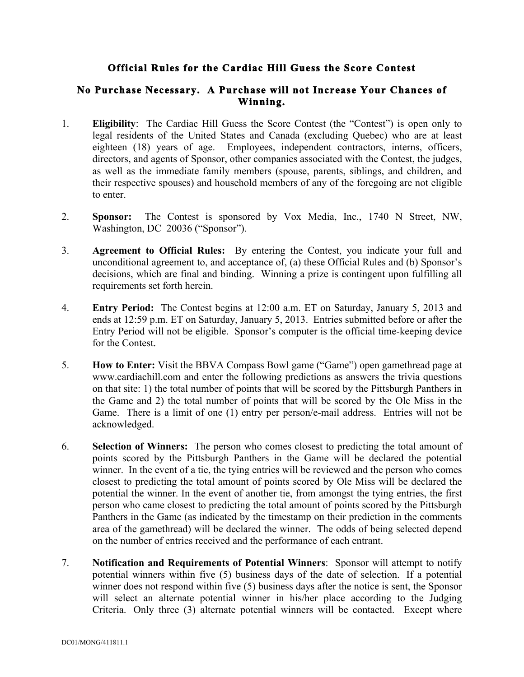## **Official Rules for the Cardiac Hill Guess the Score Contest**

## **No Purchase Necessary. A Purchase will not Increase Your Chances of Winning.**

- 1. **Eligibility**: The Cardiac Hill Guess the Score Contest (the "Contest") is open only to legal residents of the United States and Canada (excluding Quebec) who are at least eighteen (18) years of age. Employees, independent contractors, interns, officers, directors, and agents of Sponsor, other companies associated with the Contest, the judges, as well as the immediate family members (spouse, parents, siblings, and children, and their respective spouses) and household members of any of the foregoing are not eligible to enter.
- 2. **Sponsor:** The Contest is sponsored by Vox Media, Inc., 1740 N Street, NW, Washington, DC 20036 ("Sponsor").
- 3. **Agreement to Official Rules:** By entering the Contest, you indicate your full and unconditional agreement to, and acceptance of, (a) these Official Rules and (b) Sponsor's decisions, which are final and binding. Winning a prize is contingent upon fulfilling all requirements set forth herein.
- 4. **Entry Period:** The Contest begins at 12:00 a.m. ET on Saturday, January 5, 2013 and ends at 12:59 p.m. ET on Saturday, January 5, 2013. Entries submitted before or after the Entry Period will not be eligible. Sponsor's computer is the official time-keeping device for the Contest.
- 5. **How to Enter:** Visit the BBVA Compass Bowl game ("Game") open gamethread page at www.cardiachill.com and enter the following predictions as answers the trivia questions on that site: 1) the total number of points that will be scored by the Pittsburgh Panthers in the Game and 2) the total number of points that will be scored by the Ole Miss in the Game. There is a limit of one (1) entry per person/e-mail address. Entries will not be acknowledged.
- 6. **Selection of Winners:** The person who comes closest to predicting the total amount of points scored by the Pittsburgh Panthers in the Game will be declared the potential winner. In the event of a tie, the tying entries will be reviewed and the person who comes closest to predicting the total amount of points scored by Ole Miss will be declared the potential the winner. In the event of another tie, from amongst the tying entries, the first person who came closest to predicting the total amount of points scored by the Pittsburgh Panthers in the Game (as indicated by the timestamp on their prediction in the comments area of the gamethread) will be declared the winner. The odds of being selected depend on the number of entries received and the performance of each entrant.
- 7. **Notification and Requirements of Potential Winners**: Sponsor will attempt to notify potential winners within five (5) business days of the date of selection. If a potential winner does not respond within five (5) business days after the notice is sent, the Sponsor will select an alternate potential winner in his/her place according to the Judging Criteria. Only three (3) alternate potential winners will be contacted. Except where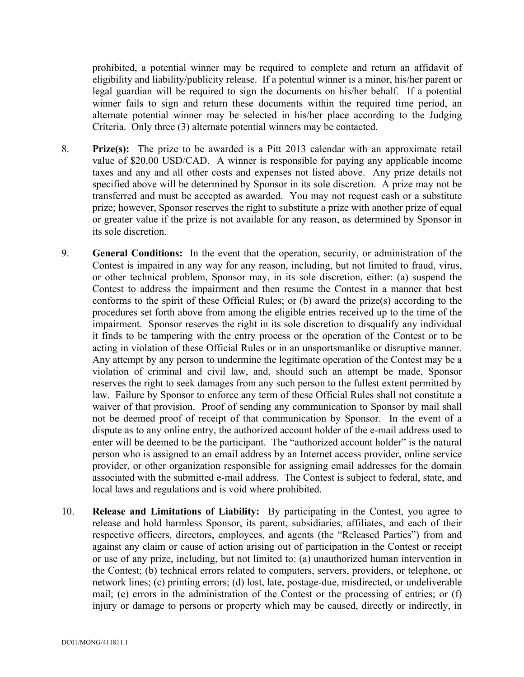prohibited, a potential winner may be required to complete and return an affidavit of eligibility and liability/publicity release. If a potential winner is a minor, his/her parent or legal guardian will be required to sign the documents on his/her behalf. If a potential winner fails to sign and return these documents within the required time period, an alternate potential winner may be selected in his/her place according to the Judging Criteria. Only three (3) alternate potential winners may be contacted.

- 8. **Prize(s):** The prize to be awarded is a Pitt 2013 calendar with an approximate retail value of \$20.00 USD/CAD. A winner is responsible for paying any applicable income taxes and any and all other costs and expenses not listed above. Any prize details not specified above will be determined by Sponsor in its sole discretion. A prize may not be transferred and must be accepted as awarded. You may not request cash or a substitute prize; however, Sponsor reserves the right to substitute a prize with another prize of equal or greater value if the prize is not available for any reason, as determined by Sponsor in its sole discretion.
- 9. **General Conditions:** In the event that the operation, security, or administration of the Contest is impaired in any way for any reason, including, but not limited to fraud, virus, or other technical problem, Sponsor may, in its sole discretion, either: (a) suspend the Contest to address the impairment and then resume the Contest in a manner that best conforms to the spirit of these Official Rules; or (b) award the prize(s) according to the procedures set forth above from among the eligible entries received up to the time of the impairment. Sponsor reserves the right in its sole discretion to disqualify any individual it finds to be tampering with the entry process or the operation of the Contest or to be acting in violation of these Official Rules or in an unsportsmanlike or disruptive manner. Any attempt by any person to undermine the legitimate operation of the Contest may be a violation of criminal and civil law, and, should such an attempt be made, Sponsor reserves the right to seek damages from any such person to the fullest extent permitted by law. Failure by Sponsor to enforce any term of these Official Rules shall not constitute a waiver of that provision. Proof of sending any communication to Sponsor by mail shall not be deemed proof of receipt of that communication by Sponsor. In the event of a dispute as to any online entry, the authorized account holder of the e-mail address used to enter will be deemed to be the participant. The "authorized account holder" is the natural person who is assigned to an email address by an Internet access provider, online service provider, or other organization responsible for assigning email addresses for the domain associated with the submitted e-mail address. The Contest is subject to federal, state, and local laws and regulations and is void where prohibited.
- 10. **Release and Limitations of Liability:** By participating in the Contest, you agree to release and hold harmless Sponsor, its parent, subsidiaries, affiliates, and each of their respective officers, directors, employees, and agents (the "Released Parties") from and against any claim or cause of action arising out of participation in the Contest or receipt or use of any prize, including, but not limited to: (a) unauthorized human intervention in the Contest; (b) technical errors related to computers, servers, providers, or telephone, or network lines; (c) printing errors; (d) lost, late, postage-due, misdirected, or undeliverable mail; (e) errors in the administration of the Contest or the processing of entries; or (f) injury or damage to persons or property which may be caused, directly or indirectly, in